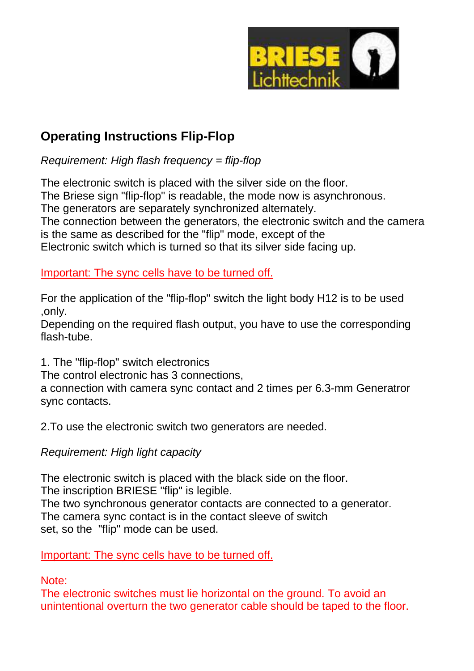

## **Operating Instructions Flip-Flop**

 $Required: High flash frequency = flip-flop$ 

The electronic switch is placed with the silver side on the floor. The Briese sign "flip-flop" is readable, the mode now is asynchronous. The generators are separately synchronized alternately. The connection between the generators, the electronic switch and the camera is the same as described for the "flip" mode, except of the Electronic switch which is turned so that its silver side facing up.

Important: The sync cells have to be turned off.

For the application of the "flip-flop" switch the light body H12 is to be used ,only.

Depending on the required flash output, you have to use the corresponding flash-tube.

1. The "flip-flop" switch electronics

The control electronic has 3 connections,

a connection with camera sync contact and 2 times per 6.3-mm Generatror sync contacts.

2.To use the electronic switch two generators are needed.

### Requirement: High light capacity

The electronic switch is placed with the black side on the floor.

The inscription BRIESE "flip" is legible.

The two synchronous generator contacts are connected to a generator. The camera sync contact is in the contact sleeve of switch set, so the "flip" mode can be used.

Important: The sync cells have to be turned off.

Note:

The electronic switches must lie horizontal on the ground. To avoid an unintentional overturn the two generator cable should be taped to the floor.